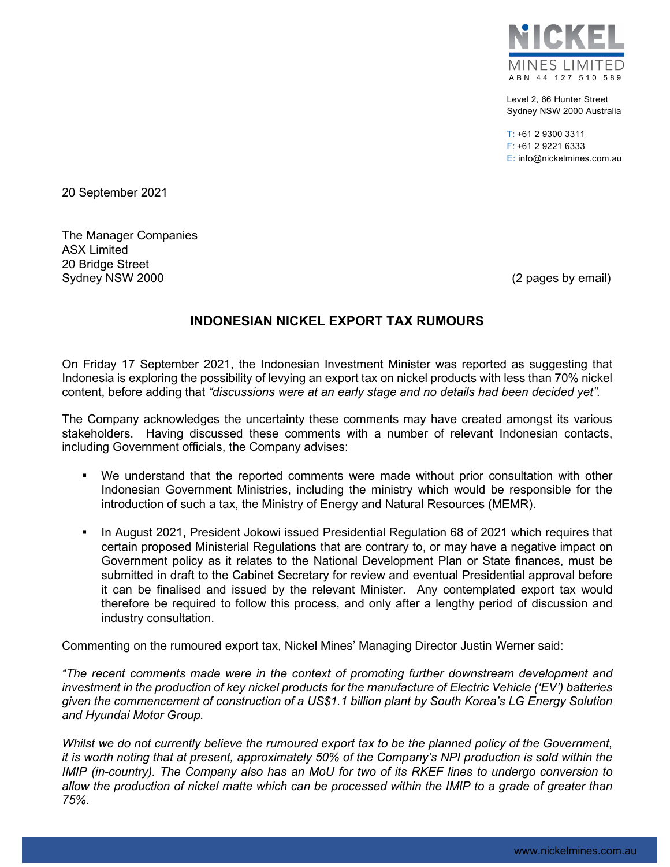

Level 2, 66 Hunter Street Sydney NSW 2000 Australia

T: +61 2 9300 3311 F: +61 2 9221 6333 E: info@nickelmines.com.au

20 September 2021

The Manager Companies ASX Limited 20 Bridge Street Sydney NSW 2000 (2 pages by email)

## **INDONESIAN NICKEL EXPORT TAX RUMOURS**

On Friday 17 September 2021, the Indonesian Investment Minister was reported as suggesting that Indonesia is exploring the possibility of levying an export tax on nickel products with less than 70% nickel content, before adding that *"discussions were at an early stage and no details had been decided yet".*

The Company acknowledges the uncertainty these comments may have created amongst its various stakeholders. Having discussed these comments with a number of relevant Indonesian contacts, including Government officials, the Company advises:

- We understand that the reported comments were made without prior consultation with other Indonesian Government Ministries, including the ministry which would be responsible for the introduction of such a tax, the Ministry of Energy and Natural Resources (MEMR).
- In August 2021, President Jokowi issued Presidential Regulation 68 of 2021 which requires that certain proposed Ministerial Regulations that are contrary to, or may have a negative impact on Government policy as it relates to the National Development Plan or State finances, must be submitted in draft to the Cabinet Secretary for review and eventual Presidential approval before it can be finalised and issued by the relevant Minister. Any contemplated export tax would therefore be required to follow this process, and only after a lengthy period of discussion and industry consultation.

Commenting on the rumoured export tax, Nickel Mines' Managing Director Justin Werner said:

*"The recent comments made were in the context of promoting further downstream development and investment in the production of key nickel products for the manufacture of Electric Vehicle ('EV') batteries given the commencement of construction of a US\$1.1 billion plant by South Korea's LG Energy Solution and Hyundai Motor Group.* 

*Whilst we do not currently believe the rumoured export tax to be the planned policy of the Government, it is worth noting that at present, approximately 50% of the Company's NPI production is sold within the IMIP (in-country). The Company also has an MoU for two of its RKEF lines to undergo conversion to allow the production of nickel matte which can be processed within the IMIP to a grade of greater than 75%.*